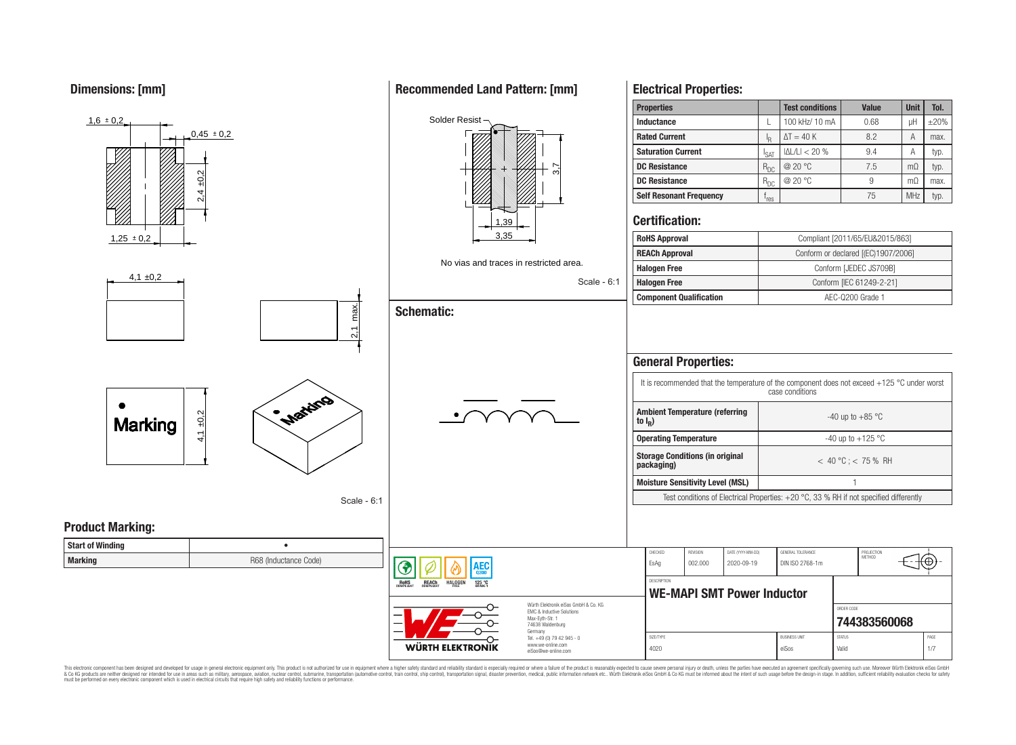**Dimensions: [mm]**



This electronic component has been designed and developed for usage in general electronic equipment only. This product is not authorized for use in equipment where a higher safety standard and reliability standard is espec & Ook product a label and the membed of the seasuch as marked and as which such a membed and the such assume that income in the seasuch and the simulation and the such assume that include to the such a membed and the such

# **Recommended Land Pattern: [mm]**

**Electrical Properties:**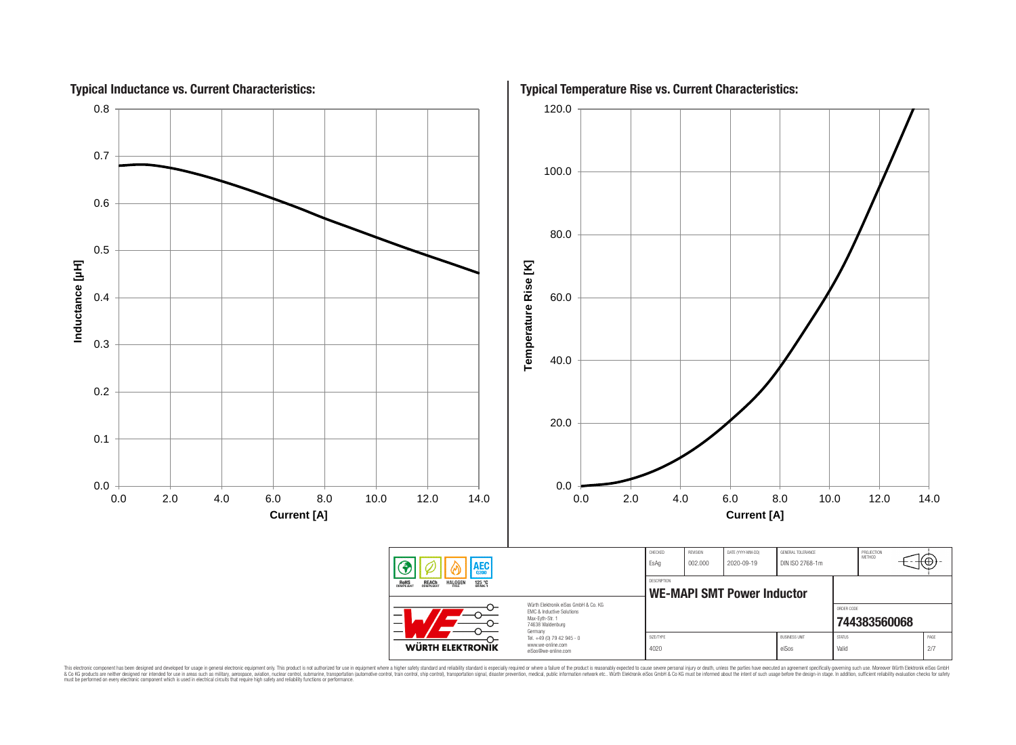

This electronic component has been designed and developed for usage in general electronic equipment only. This product is not authorized for subserved requipment where a higher selection equipment where a higher selection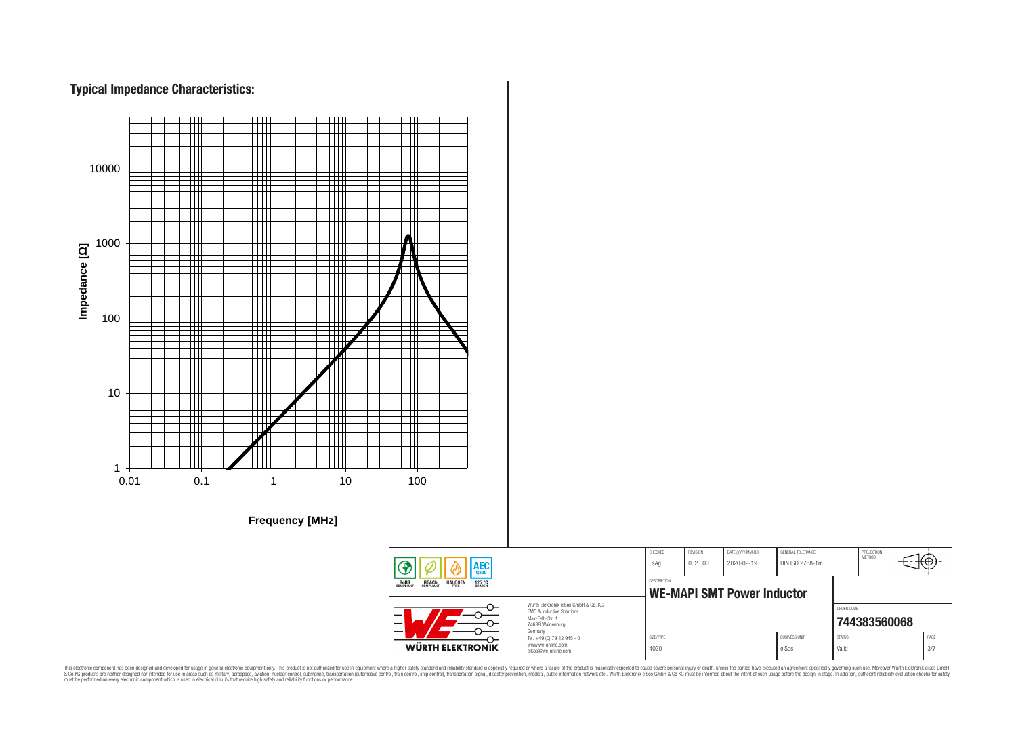# **Typical Impedance Characteristics:**



This electronic component has been designed and developed for usage in general electronic equipment only. This product is not authorized for use in equipment where a higher safely standard and reliability standard si espec & Ook product a label and the membed of the seasuch as marked and as which such a membed and the such assume that income in the seasuch and the simulation and the such assume that include to the such a membed and the such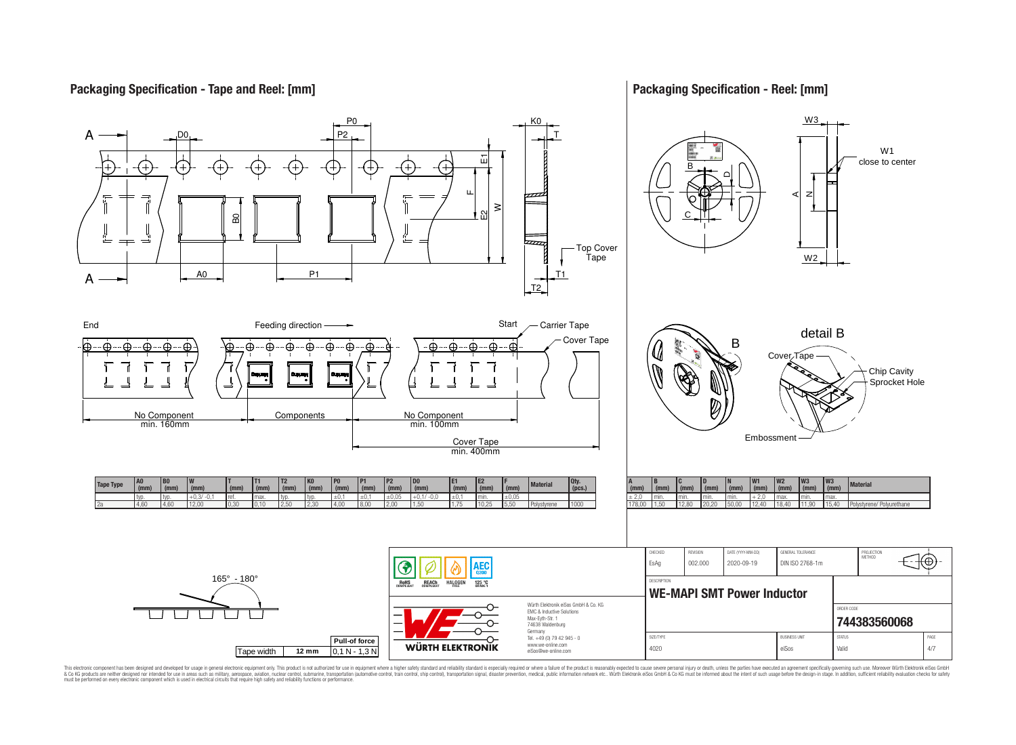## **Packaging Specification - Tape and Reel: [mm]**

## **Packaging Specification - Reel: [mm]**



This electronic component has been designed and developed for usage in general electronic equipment only. This product is not authorized for subserved requipment where a higher selection equipment where a higher selection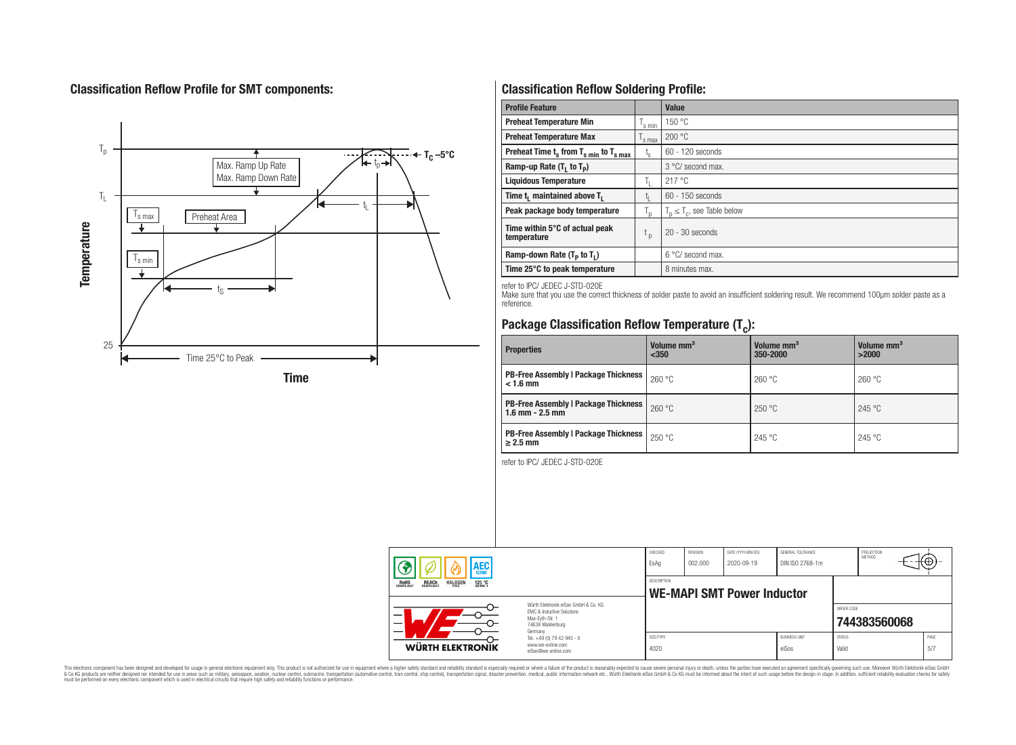# **Classification Reflow Profile for SMT components:**



# **Classification Reflow Soldering Profile:**

| <b>Profile Feature</b>                             |                    | <b>Value</b>                     |
|----------------------------------------------------|--------------------|----------------------------------|
| <b>Preheat Temperature Min</b>                     | <sup>I</sup> s min | 150 °C                           |
| <b>Preheat Temperature Max</b>                     | <sup>I</sup> s max | 200 °C                           |
| Preheat Time $t_s$ from $T_{s min}$ to $T_{s max}$ | $t_{\rm s}$        | $60 - 120$ seconds               |
| Ramp-up Rate $(T_1$ to $T_p$ )                     |                    | 3 °C/ second max.                |
| <b>Liquidous Temperature</b>                       | Ь.                 | 217 °C                           |
| Time $t_i$ maintained above $T_i$                  | կ                  | $60 - 150$ seconds               |
| Peak package body temperature                      | l n                | $T_p \leq T_c$ , see Table below |
| Time within 5°C of actual peak<br>temperature      | $t_{p}$            | $20 - 30$ seconds                |
| Ramp-down Rate $(T_p$ to $T_1$ )                   |                    | $6^{\circ}$ C/ second max.       |
| Time 25°C to peak temperature                      |                    | 8 minutes max.                   |

refer to IPC/ JEDEC J-STD-020E

Make sure that you use the correct thickness of solder paste to avoid an insufficient soldering result. We recommend 100µm solder paste as a reference.

# **Package Classification Reflow Temperature (T<sup>c</sup> ):**

| <b>Properties</b>                                                    | Volume mm <sup>3</sup><br>< 350 | Volume mm <sup>3</sup><br>350-2000 | Volume mm <sup>3</sup><br>>2000 |  |
|----------------------------------------------------------------------|---------------------------------|------------------------------------|---------------------------------|--|
| <b>PB-Free Assembly   Package Thickness  </b><br>$< 1.6$ mm          | 260 °C                          | 260 °C                             | 260 °C                          |  |
| <b>PB-Free Assembly   Package Thickness  </b><br>$1.6$ mm $- 2.5$ mm | 260 °C                          | 250 °C                             | 245 °C                          |  |
| <b>PB-Free Assembly   Package Thickness  </b><br>$\geq$ 2.5 mm       | 250 °C                          | 245 °C                             | 245 °C                          |  |

refer to IPC/ JEDEC J-STD-020E

| AEC                                                                                   |                                                                                                                     | CHECKED<br>EsAg                                         | <b>REVISION</b><br>002.000 | DATE (YYYY-MM-DD)<br>2020-09-19 | GENERAL TOLERANCE<br>DIN ISO 2768-1m |                        | PROJECTION<br>METHOD | ᠊᠊᠊ᡈ         |
|---------------------------------------------------------------------------------------|---------------------------------------------------------------------------------------------------------------------|---------------------------------------------------------|----------------------------|---------------------------------|--------------------------------------|------------------------|----------------------|--------------|
| ROHS<br>COMPLIANT<br><b>REACH</b><br>COMPLIANT<br><b>HALOGEN</b><br>125 °C<br>GRADE 1 |                                                                                                                     | <b>DESCRIPTION</b><br><b>WE-MAPI SMT Power Inductor</b> |                            |                                 |                                      |                        |                      |              |
|                                                                                       | Würth Flektronik eiSos GmbH & Co. KG<br>EMC & Inductive Solutions<br>Max-Eyth-Str. 1<br>74638 Waldenburg<br>Germany |                                                         |                            |                                 |                                      | ORDER CODE             | 744383560068         |              |
| WÜRTH ELEKTRONIK                                                                      | Tel. +49 (0) 79 42 945 - 0<br>www.we-online.com<br>eiSos@we-online.com                                              | SIZE/TYPE<br>4020                                       |                            |                                 | <b>BLISINESS LINIT</b><br>eiSos      | <b>STATUS</b><br>Valid |                      | PAGE<br>.5/7 |

This electronic component has been designed and developed for usage in general electronic equipment only. This product is not authorized for subserved requipment where a higher selection equipment where a higher selection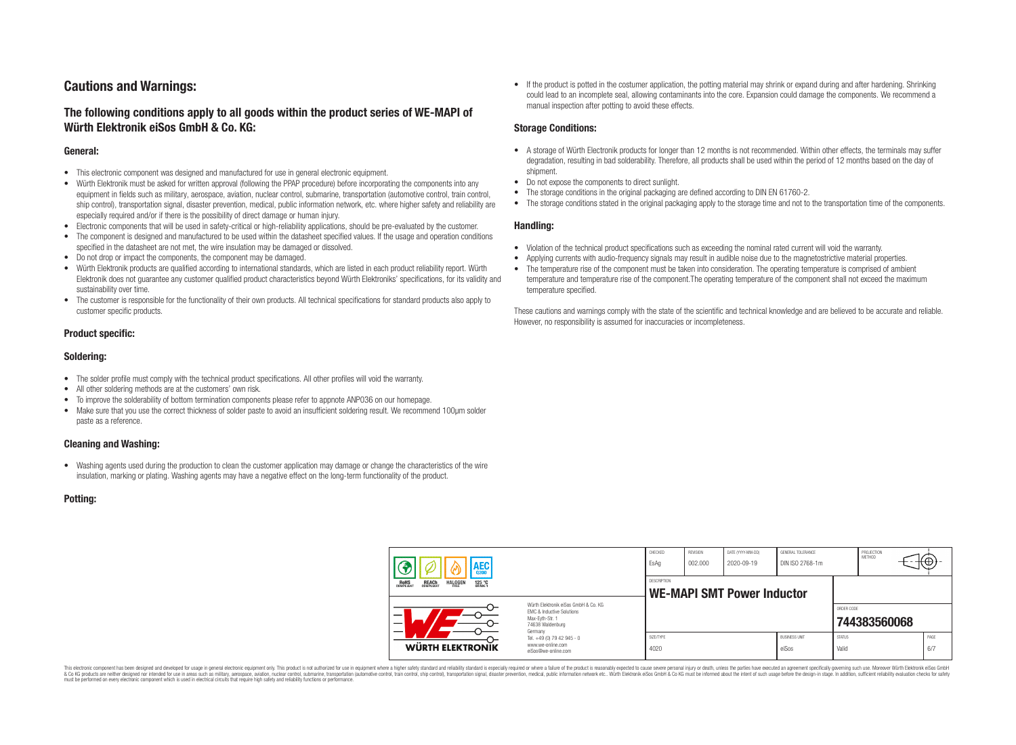# **Cautions and Warnings:**

## **The following conditions apply to all goods within the product series of WE-MAPI of Würth Elektronik eiSos GmbH & Co. KG:**

#### **General:**

- This electronic component was designed and manufactured for use in general electronic equipment.
- Würth Elektronik must be asked for written approval (following the PPAP procedure) before incorporating the components into any equipment in fields such as military, aerospace, aviation, nuclear control, submarine, transportation (automotive control, train control, ship control), transportation signal, disaster prevention, medical, public information network, etc. where higher safety and reliability are especially required and/or if there is the possibility of direct damage or human injury.
- Electronic components that will be used in safety-critical or high-reliability applications, should be pre-evaluated by the customer.
- The component is designed and manufactured to be used within the datasheet specified values. If the usage and operation conditions specified in the datasheet are not met, the wire insulation may be damaged or dissolved.
- Do not drop or impact the components, the component may be damaged.
- Würth Elektronik products are qualified according to international standards, which are listed in each product reliability report. Würth Elektronik does not guarantee any customer qualified product characteristics beyond Würth Elektroniks' specifications, for its validity and sustainability over time.
- The customer is responsible for the functionality of their own products. All technical specifications for standard products also apply to customer specific products.

#### **Product specific:**

#### **Soldering:**

- The solder profile must comply with the technical product specifications. All other profiles will void the warranty.
- All other soldering methods are at the customers' own risk.
- To improve the solderability of bottom termination components please refer to appnote ANP036 on our homepage.
- Make sure that you use the correct thickness of solder paste to avoid an insufficient soldering result. We recommend 100µm solder paste as a reference.

#### **Cleaning and Washing:**

• Washing agents used during the production to clean the customer application may damage or change the characteristics of the wire insulation, marking or plating. Washing agents may have a negative effect on the long-term functionality of the product.

#### **Potting:**

• If the product is potted in the costumer application, the potting material may shrink or expand during and after hardening. Shrinking could lead to an incomplete seal, allowing contaminants into the core. Expansion could damage the components. We recommend a manual inspection after potting to avoid these effects.

#### **Storage Conditions:**

- A storage of Würth Electronik products for longer than 12 months is not recommended. Within other effects, the terminals may suffer degradation, resulting in bad solderability. Therefore, all products shall be used within the period of 12 months based on the day of shipment.
- Do not expose the components to direct sunlight.
- The storage conditions in the original packaging are defined according to DIN EN 61760-2.
- The storage conditions stated in the original packaging apply to the storage time and not to the transportation time of the components.

#### **Handling:**

- Violation of the technical product specifications such as exceeding the nominal rated current will void the warranty.
- Applying currents with audio-frequency signals may result in audible noise due to the magnetostrictive material properties.
- The temperature rise of the component must be taken into consideration. The operating temperature is comprised of ambient temperature and temperature rise of the component.The operating temperature of the component shall not exceed the maximum temperature specified.

These cautions and warnings comply with the state of the scientific and technical knowledge and are believed to be accurate and reliable. However, no responsibility is assumed for inaccuracies or incompleteness.

| AEC                                                                                          |                                                                                                                                                                                               | CHECKED<br>EsAq                                         | <b>REVISION</b><br>002.000 | DATE (YYYY-MM-DD)<br>2020-09-19 | GENERAL TOLERANCE<br>DIN ISO 2768-1m |                        | PROJECTION<br>METHOD |             |
|----------------------------------------------------------------------------------------------|-----------------------------------------------------------------------------------------------------------------------------------------------------------------------------------------------|---------------------------------------------------------|----------------------------|---------------------------------|--------------------------------------|------------------------|----------------------|-------------|
| <b>ROHS</b><br>COMPLIANT<br><b>HALOGEN</b><br>125 °C<br>GRADE 1<br><b>REACH</b><br>COMPLIANT |                                                                                                                                                                                               | <b>DESCRIPTION</b><br><b>WE-MAPI SMT Power Inductor</b> |                            |                                 |                                      |                        |                      |             |
| WÜRTH ELEKTRONIK                                                                             | Würth Flektronik eiSos GmbH & Co. KG<br>FMC & Inductive Solutions<br>Max-Eyth-Str. 1<br>74638 Waldenburg<br>Germany<br>Tel. +49 (0) 79 42 945 - 0<br>www.we-online.com<br>eiSos@we-online.com |                                                         |                            |                                 |                                      | ORDER CODE             | 744383560068         |             |
|                                                                                              |                                                                                                                                                                                               | SIZE/TYPE<br>4020                                       |                            |                                 | <b>BUSINESS UNIT</b><br>eiSos        | <b>STATUS</b><br>Valid |                      | PAGE<br>6/7 |

This electronic component has been designed and developed for usage in general electronic equipment only. This product is not authorized for use in equipment where a higher safety standard and reliability standard si espec & Ook product a label and the membed of the seasuch as marked and as which such a membed and the such assume that income in the seasuch and the simulation and the such assume that include to the such a membed and the such